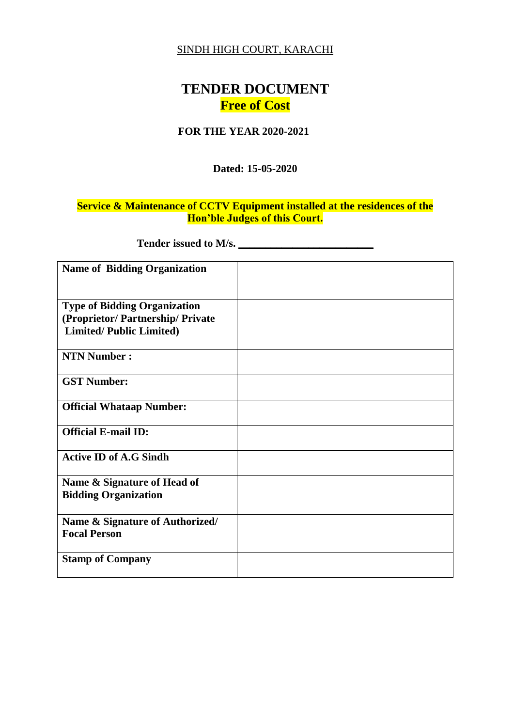#### SINDH HIGH COURT, KARACHI

# **TENDER DOCUMENT Free of Cost**

#### **FOR THE YEAR 2020-2021**

#### **Dated: 15-05-2020**

## **Service & Maintenance of CCTV Equipment installed at the residences of the Hon'ble Judges of this Court.**

**Tender issued to M/s. \_\_\_\_\_\_\_\_\_\_\_\_\_\_\_\_\_\_\_\_\_\_\_\_\_**

| <b>Name of Bidding Organization</b> |  |
|-------------------------------------|--|
|                                     |  |
|                                     |  |
| <b>Type of Bidding Organization</b> |  |
| (Proprietor/Partnership/Private     |  |
| <b>Limited/Public Limited)</b>      |  |
|                                     |  |
| <b>NTN Number:</b>                  |  |
|                                     |  |
| <b>GST Number:</b>                  |  |
|                                     |  |
| <b>Official Whataap Number:</b>     |  |
|                                     |  |
| <b>Official E-mail ID:</b>          |  |
|                                     |  |
| <b>Active ID of A.G Sindh</b>       |  |
|                                     |  |
| Name & Signature of Head of         |  |
| <b>Bidding Organization</b>         |  |
|                                     |  |
| Name & Signature of Authorized/     |  |
| <b>Focal Person</b>                 |  |
|                                     |  |
| <b>Stamp of Company</b>             |  |
|                                     |  |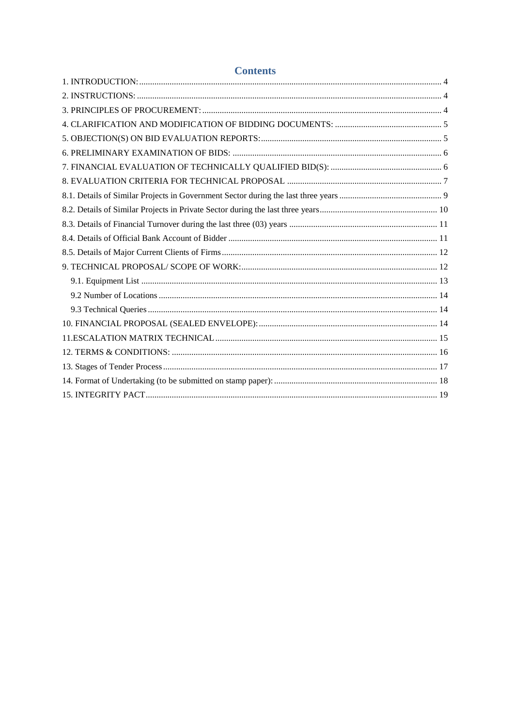| <b>Contents</b> |  |
|-----------------|--|
|                 |  |
|                 |  |
|                 |  |
|                 |  |
|                 |  |
|                 |  |
|                 |  |
|                 |  |
|                 |  |
|                 |  |
|                 |  |
|                 |  |
|                 |  |
|                 |  |
|                 |  |
|                 |  |
|                 |  |
|                 |  |
|                 |  |
|                 |  |
|                 |  |
|                 |  |
|                 |  |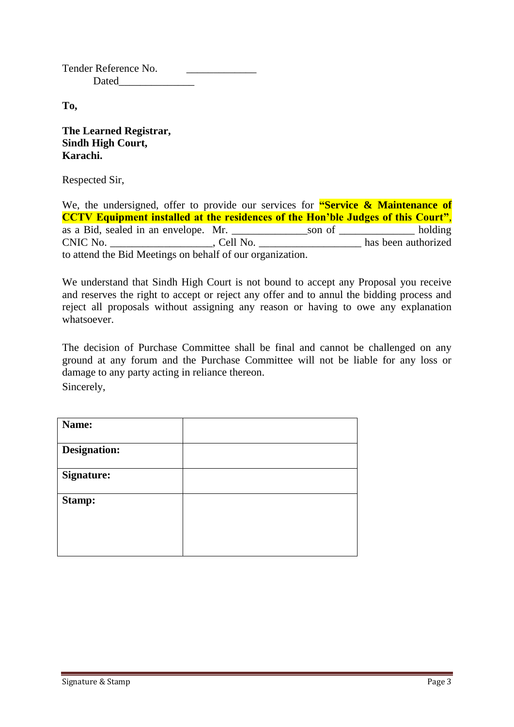Tender Reference No. Dated

**To,** 

**The Learned Registrar, Sindh High Court, Karachi.**

Respected Sir,

We, the undersigned, offer to provide our services for **"Service & Maintenance of CCTV Equipment installed at the residences of the Hon'ble Judges of this Court"**, as a Bid, sealed in an envelope. Mr. \_\_\_\_\_\_\_\_\_\_\_\_\_\_son of \_\_\_\_\_\_\_\_\_\_\_\_\_\_ holding CNIC No. \_\_\_\_\_\_\_\_\_\_\_\_\_\_\_\_\_\_\_, Cell No. \_\_\_\_\_\_\_\_\_\_\_\_\_\_\_\_\_\_\_ has been authorized to attend the Bid Meetings on behalf of our organization.

We understand that Sindh High Court is not bound to accept any Proposal you receive and reserves the right to accept or reject any offer and to annul the bidding process and reject all proposals without assigning any reason or having to owe any explanation whatsoever.

The decision of Purchase Committee shall be final and cannot be challenged on any ground at any forum and the Purchase Committee will not be liable for any loss or damage to any party acting in reliance thereon. Sincerely,

| Name:               |  |
|---------------------|--|
| <b>Designation:</b> |  |
| <b>Signature:</b>   |  |
| <b>Stamp:</b>       |  |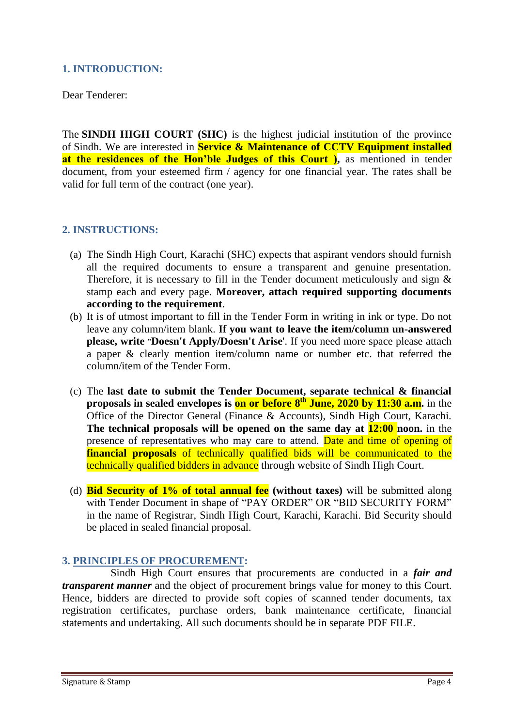# <span id="page-3-0"></span>**1. INTRODUCTION:**

Dear Tenderer:

The **SINDH HIGH COURT (SHC)** is the highest judicial institution of the province of [Sindh.](https://en.wikipedia.org/wiki/Sindh) We are interested in **Service & Maintenance of CCTV Equipment installed at the residences of the Hon'ble Judges of this Court**), as mentioned in tender document, from your esteemed firm / agency for one financial year. The rates shall be valid for full term of the contract (one year).

## <span id="page-3-1"></span>**2. INSTRUCTIONS:**

- (a) The Sindh High Court, Karachi (SHC) expects that aspirant vendors should furnish all the required documents to ensure a transparent and genuine presentation. Therefore, it is necessary to fill in the Tender document meticulously and sign & stamp each and every page. **Moreover, attach required supporting documents according to the requirement**.
- (b) It is of utmost important to fill in the Tender Form in writing in ink or type. Do not leave any column/item blank. **If you want to leave the item/column un-answered please, write "Doesn't Apply/Doesn't Arise**'. If you need more space please attach a paper & clearly mention item/column name or number etc. that referred the column/item of the Tender Form.
- (c) The **last date to submit the Tender Document, separate technical & financial proposals in sealed envelopes is on or before 8 th June, 2020 by 11:30 a.m.** in the Office of the Director General (Finance & Accounts), Sindh High Court, Karachi. **The technical proposals will be opened on the same day at 12:00 noon.** in the presence of representatives who may care to attend. Date and time of opening of **financial proposals** of technically qualified bids will be communicated to the technically qualified bidders in advance through website of Sindh High Court.
- (d) **Bid Security of 1% of total annual fee (without taxes)** will be submitted along with Tender Document in shape of "PAY ORDER" OR "BID SECURITY FORM" in the name of Registrar, Sindh High Court, Karachi, Karachi. Bid Security should be placed in sealed financial proposal.

#### <span id="page-3-2"></span>**3. PRINCIPLES OF PROCUREMENT:**

 Sindh High Court ensures that procurements are conducted in a *fair and transparent manner* and the object of procurement brings value for money to this Court. Hence, bidders are directed to provide soft copies of scanned tender documents, tax registration certificates, purchase orders, bank maintenance certificate, financial statements and undertaking. All such documents should be in separate PDF FILE.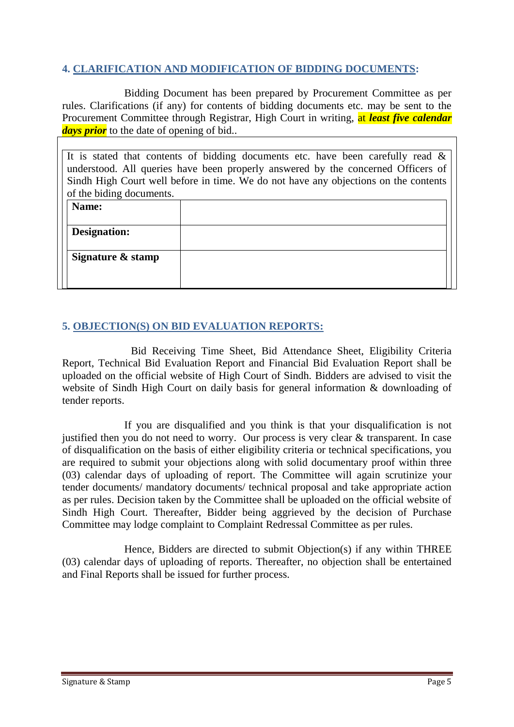## <span id="page-4-0"></span>**4. CLARIFICATION AND MODIFICATION OF BIDDING DOCUMENTS:**

Bidding Document has been prepared by Procurement Committee as per rules. Clarifications (if any) for contents of bidding documents etc. may be sent to the Procurement Committee through Registrar, High Court in writing, at *least five calendar days prior* to the date of opening of bid..

|                          | It is stated that contents of bidding documents etc. have been carefully read $\&$  |
|--------------------------|-------------------------------------------------------------------------------------|
|                          | understood. All queries have been properly answered by the concerned Officers of    |
|                          | Sindh High Court well before in time. We do not have any objections on the contents |
| of the biding documents. |                                                                                     |
| Name:                    |                                                                                     |
|                          |                                                                                     |
| Designation:             |                                                                                     |
|                          |                                                                                     |
| Signature & stamp        |                                                                                     |
|                          |                                                                                     |
|                          |                                                                                     |

## <span id="page-4-1"></span>**5. OBJECTION(S) ON BID EVALUATION REPORTS:**

 Bid Receiving Time Sheet, Bid Attendance Sheet, Eligibility Criteria Report, Technical Bid Evaluation Report and Financial Bid Evaluation Report shall be uploaded on the official website of High Court of Sindh. Bidders are advised to visit the website of Sindh High Court on daily basis for general information & downloading of tender reports.

If you are disqualified and you think is that your disqualification is not justified then you do not need to worry. Our process is very clear & transparent. In case of disqualification on the basis of either eligibility criteria or technical specifications, you are required to submit your objections along with solid documentary proof within three (03) calendar days of uploading of report. The Committee will again scrutinize your tender documents/ mandatory documents/ technical proposal and take appropriate action as per rules. Decision taken by the Committee shall be uploaded on the official website of Sindh High Court. Thereafter, Bidder being aggrieved by the decision of Purchase Committee may lodge complaint to Complaint Redressal Committee as per rules.

Hence, Bidders are directed to submit Objection(s) if any within THREE (03) calendar days of uploading of reports. Thereafter, no objection shall be entertained and Final Reports shall be issued for further process.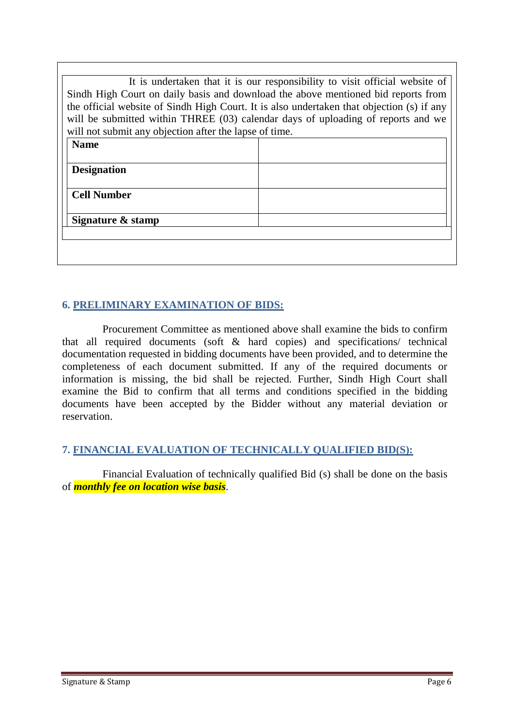| Sindh High Court on daily basis and download the above mentioned bid reports from<br>the official website of Sindh High Court. It is also undertaken that objection (s) if any<br>will be submitted within THREE (03) calendar days of uploading of reports and we<br>will not submit any objection after the lapse of time. | It is undertaken that it is our responsibility to visit official website of |
|------------------------------------------------------------------------------------------------------------------------------------------------------------------------------------------------------------------------------------------------------------------------------------------------------------------------------|-----------------------------------------------------------------------------|
| <b>Name</b>                                                                                                                                                                                                                                                                                                                  |                                                                             |
|                                                                                                                                                                                                                                                                                                                              |                                                                             |
| <b>Designation</b>                                                                                                                                                                                                                                                                                                           |                                                                             |
|                                                                                                                                                                                                                                                                                                                              |                                                                             |
| <b>Cell Number</b>                                                                                                                                                                                                                                                                                                           |                                                                             |
|                                                                                                                                                                                                                                                                                                                              |                                                                             |
| Signature & stamp                                                                                                                                                                                                                                                                                                            |                                                                             |
|                                                                                                                                                                                                                                                                                                                              |                                                                             |
|                                                                                                                                                                                                                                                                                                                              |                                                                             |
|                                                                                                                                                                                                                                                                                                                              |                                                                             |

# <span id="page-5-0"></span>**6. PRELIMINARY EXAMINATION OF BIDS:**

 Procurement Committee as mentioned above shall examine the bids to confirm that all required documents (soft & hard copies) and specifications/ technical documentation requested in bidding documents have been provided, and to determine the completeness of each document submitted. If any of the required documents or information is missing, the bid shall be rejected. Further, Sindh High Court shall examine the Bid to confirm that all terms and conditions specified in the bidding documents have been accepted by the Bidder without any material deviation or reservation.

## <span id="page-5-1"></span>**7. FINANCIAL EVALUATION OF TECHNICALLY QUALIFIED BID(S):**

 Financial Evaluation of technically qualified Bid (s) shall be done on the basis of *monthly fee on location wise basis*.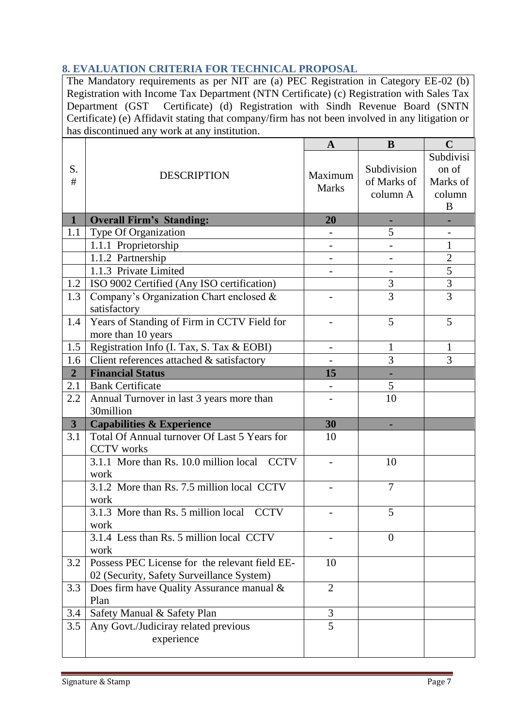# <span id="page-6-0"></span>**8. EVALUATION CRITERIA FOR TECHNICAL PROPOSAL**

The Mandatory requirements as per NIT are (a) PEC Registration in Category EE-02 (b) Registration with Income Tax Department (NTN Certificate) (c) Registration with Sales Tax Department (GST Certificate) (d) Registration with Sindh Revenue Board (SNTN Certificate) (e) Affidavit stating that company/firm has not been involved in any litigation or has discontinued any work at any institution.

|                         |                                                | A                        | B                                      | $\mathbf C$                                   |
|-------------------------|------------------------------------------------|--------------------------|----------------------------------------|-----------------------------------------------|
| S.<br>#                 | <b>DESCRIPTION</b>                             | Maximum<br><b>Marks</b>  | Subdivision<br>of Marks of<br>column A | Subdivisi<br>on of<br>Marks of<br>column<br>B |
| $\mathbf{1}$            | <b>Overall Firm's Standing:</b>                | 20                       |                                        |                                               |
| 1.1                     | Type Of Organization                           |                          | 5                                      |                                               |
|                         | 1.1.1 Proprietorship                           | $\overline{\phantom{a}}$ |                                        | 1                                             |
|                         | 1.1.2 Partnership                              |                          |                                        | $\overline{2}$                                |
|                         | 1.1.3 Private Limited                          |                          | $\overline{\phantom{a}}$               | $\overline{5}$                                |
| 1.2                     | ISO 9002 Certified (Any ISO certification)     |                          | 3                                      | $\overline{3}$                                |
| 1.3                     | Company's Organization Chart enclosed &        |                          | $\overline{3}$                         | $\overline{3}$                                |
|                         | satisfactory                                   |                          |                                        |                                               |
| 1.4                     | Years of Standing of Firm in CCTV Field for    |                          | 5                                      | 5                                             |
|                         | more than 10 years                             |                          |                                        |                                               |
| 1.5                     | Registration Info (I. Tax, S. Tax & EOBI)      | $\overline{\phantom{a}}$ | $\mathbf{1}$                           | $\mathbf{1}$                                  |
| 1.6                     | Client references attached & satisfactory      |                          | 3                                      | 3                                             |
| $\overline{2}$          | <b>Financial Status</b>                        | 15                       |                                        |                                               |
| 2.1                     | <b>Bank Certificate</b>                        |                          | 5                                      |                                               |
| 2.2                     | Annual Turnover in last 3 years more than      |                          | 10                                     |                                               |
|                         | 30million                                      |                          |                                        |                                               |
| $\overline{\mathbf{3}}$ | <b>Capabilities &amp; Experience</b>           | 30                       |                                        |                                               |
| 3.1                     | Total Of Annual turnover Of Last 5 Years for   | 10                       |                                        |                                               |
|                         | <b>CCTV</b> works                              |                          |                                        |                                               |
|                         | 3.1.1 More than Rs. 10.0 million local CCTV    |                          | 10                                     |                                               |
|                         | work                                           |                          |                                        |                                               |
|                         | 3.1.2 More than Rs. 7.5 million local CCTV     |                          | $\overline{7}$                         |                                               |
|                         | work                                           |                          |                                        |                                               |
|                         | 3.1.3 More than Rs. 5 million local CCTV       |                          | 5                                      |                                               |
|                         | work                                           |                          |                                        |                                               |
|                         | 3.1.4 Less than Rs. 5 million local CCTV       |                          | $\theta$                               |                                               |
|                         | work                                           |                          |                                        |                                               |
| 3.2                     | Possess PEC License for the relevant field EE- | 10                       |                                        |                                               |
|                         | 02 (Security, Safety Surveillance System)      |                          |                                        |                                               |
| 3.3                     | Does firm have Quality Assurance manual &      | $\overline{2}$           |                                        |                                               |
|                         | Plan                                           |                          |                                        |                                               |
| 3.4                     | Safety Manual & Safety Plan                    | 3                        |                                        |                                               |
| 3.5                     | Any Govt./Judiciray related previous           | $\overline{5}$           |                                        |                                               |
|                         | experience                                     |                          |                                        |                                               |
|                         |                                                |                          |                                        |                                               |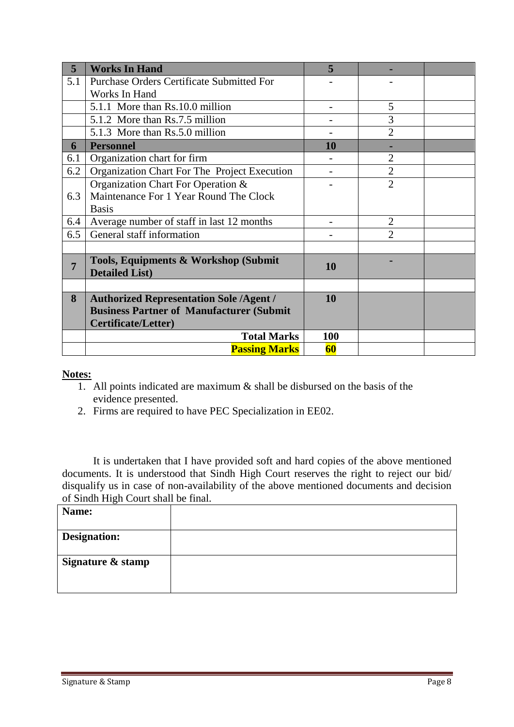| 5              | <b>Works In Hand</b>                                          | 5   |                |  |
|----------------|---------------------------------------------------------------|-----|----------------|--|
| 5.1            | <b>Purchase Orders Certificate Submitted For</b>              |     |                |  |
|                | Works In Hand                                                 |     |                |  |
|                | 5.1.1 More than Rs.10.0 million                               |     | 5              |  |
|                | 5.1.2 More than Rs.7.5 million                                |     | 3              |  |
|                | 5.1.3 More than Rs.5.0 million                                |     | $\overline{2}$ |  |
| 6              | <b>Personnel</b>                                              | 10  |                |  |
| 6.1            | Organization chart for firm                                   |     | $\overline{2}$ |  |
| 6.2            | Organization Chart For The Project Execution                  |     | $\overline{2}$ |  |
|                | Organization Chart For Operation &                            |     | $\overline{2}$ |  |
| 6.3            | Maintenance For 1 Year Round The Clock                        |     |                |  |
|                | <b>Basis</b>                                                  |     |                |  |
| 6.4            | Average number of staff in last 12 months                     |     | $\overline{2}$ |  |
| 6.5            | General staff information                                     |     | $\overline{2}$ |  |
|                |                                                               |     |                |  |
| $\overline{7}$ | Tools, Equipments & Workshop (Submit<br><b>Detailed List)</b> | 10  |                |  |
|                |                                                               |     |                |  |
| 8              | <b>Authorized Representation Sole /Agent /</b>                | 10  |                |  |
|                | <b>Business Partner of Manufacturer (Submit</b>               |     |                |  |
|                | <b>Certificate/Letter)</b>                                    |     |                |  |
|                | <b>Total Marks</b>                                            | 100 |                |  |
|                | <b>Passing Marks</b>                                          | 60  |                |  |

#### **Notes:**

- 1. All points indicated are maximum & shall be disbursed on the basis of the evidence presented.
- 2. Firms are required to have PEC Specialization in EE02.

It is undertaken that I have provided soft and hard copies of the above mentioned documents. It is understood that Sindh High Court reserves the right to reject our bid/ disqualify us in case of non-availability of the above mentioned documents and decision of Sindh High Court shall be final.

| Name:               |  |
|---------------------|--|
|                     |  |
| <b>Designation:</b> |  |
|                     |  |
| Signature & stamp   |  |
|                     |  |
|                     |  |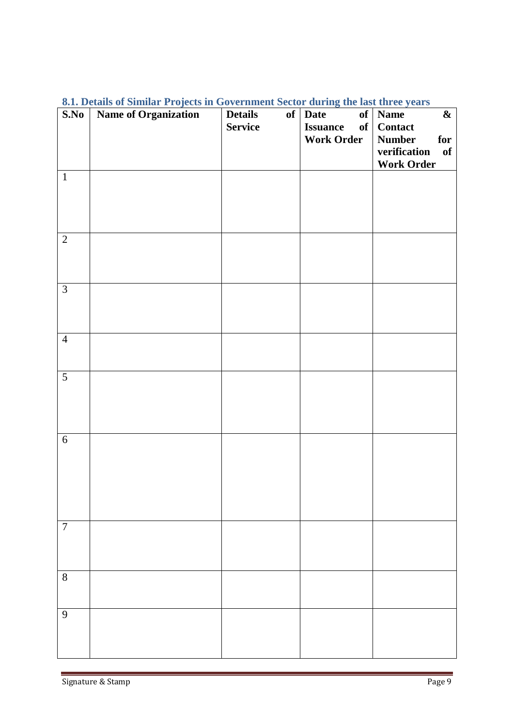| S.No           | on Deans of Shimal Projects in Government Sector auting the hist time years<br>Name of Organization | <b>Details</b> | $of$ Date                      | $\boldsymbol{\&}$<br>$\overline{\text{of}}$   Name |
|----------------|-----------------------------------------------------------------------------------------------------|----------------|--------------------------------|----------------------------------------------------|
|                |                                                                                                     | <b>Service</b> | <b>Issuance</b><br>$\alpha$ of | <b>Contact</b>                                     |
|                |                                                                                                     |                |                                |                                                    |
|                |                                                                                                     |                | <b>Work Order</b>              | <b>Number</b><br>for                               |
|                |                                                                                                     |                |                                | verification<br>of                                 |
|                |                                                                                                     |                |                                | <b>Work Order</b>                                  |
| $\overline{1}$ |                                                                                                     |                |                                |                                                    |
|                |                                                                                                     |                |                                |                                                    |
|                |                                                                                                     |                |                                |                                                    |
|                |                                                                                                     |                |                                |                                                    |
|                |                                                                                                     |                |                                |                                                    |
|                |                                                                                                     |                |                                |                                                    |
| $\overline{2}$ |                                                                                                     |                |                                |                                                    |
|                |                                                                                                     |                |                                |                                                    |
|                |                                                                                                     |                |                                |                                                    |
|                |                                                                                                     |                |                                |                                                    |
| 3              |                                                                                                     |                |                                |                                                    |
|                |                                                                                                     |                |                                |                                                    |
|                |                                                                                                     |                |                                |                                                    |
|                |                                                                                                     |                |                                |                                                    |
|                |                                                                                                     |                |                                |                                                    |
| $\overline{4}$ |                                                                                                     |                |                                |                                                    |
|                |                                                                                                     |                |                                |                                                    |
|                |                                                                                                     |                |                                |                                                    |
|                |                                                                                                     |                |                                |                                                    |
| $\mathfrak{S}$ |                                                                                                     |                |                                |                                                    |
|                |                                                                                                     |                |                                |                                                    |
|                |                                                                                                     |                |                                |                                                    |
|                |                                                                                                     |                |                                |                                                    |
|                |                                                                                                     |                |                                |                                                    |
| $6\,$          |                                                                                                     |                |                                |                                                    |
|                |                                                                                                     |                |                                |                                                    |
|                |                                                                                                     |                |                                |                                                    |
|                |                                                                                                     |                |                                |                                                    |
|                |                                                                                                     |                |                                |                                                    |
|                |                                                                                                     |                |                                |                                                    |
|                |                                                                                                     |                |                                |                                                    |
|                |                                                                                                     |                |                                |                                                    |
| $\overline{7}$ |                                                                                                     |                |                                |                                                    |
|                |                                                                                                     |                |                                |                                                    |
|                |                                                                                                     |                |                                |                                                    |
|                |                                                                                                     |                |                                |                                                    |
|                |                                                                                                     |                |                                |                                                    |
| $8\,$          |                                                                                                     |                |                                |                                                    |
|                |                                                                                                     |                |                                |                                                    |
|                |                                                                                                     |                |                                |                                                    |
| $\mathbf{9}$   |                                                                                                     |                |                                |                                                    |
|                |                                                                                                     |                |                                |                                                    |
|                |                                                                                                     |                |                                |                                                    |
|                |                                                                                                     |                |                                |                                                    |
|                |                                                                                                     |                |                                |                                                    |

#### <span id="page-8-0"></span>**8.1. Details of Similar Projects in Government Sector during the last three years**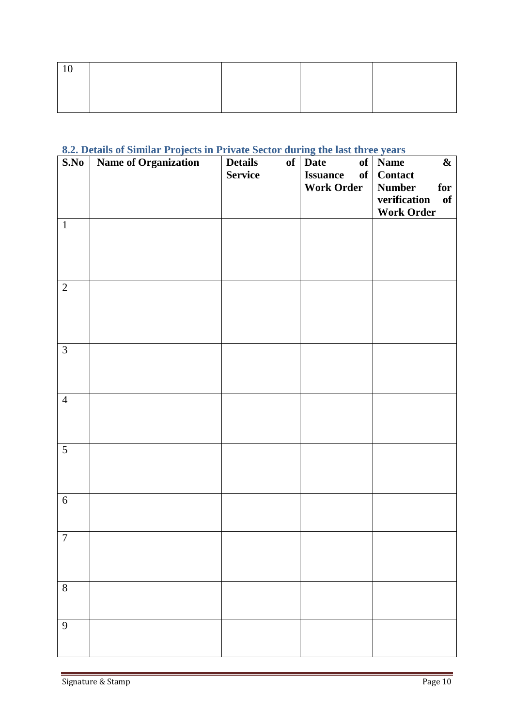# <span id="page-9-0"></span>**8.2. Details of Similar Projects in Private Sector during the last three years**

| S.No           | $-$ - $\sim$ $J$ - $\sim$ $\sim$<br>Name of Organization | <b>Details</b><br><b>Service</b> | -9 ---- ----<br>of   Date<br><b>Issuance</b><br>of | $\overline{\text{of}}$   Name<br>$\boldsymbol{\&}$<br><b>Contact</b> |
|----------------|----------------------------------------------------------|----------------------------------|----------------------------------------------------|----------------------------------------------------------------------|
|                |                                                          |                                  | <b>Work Order</b>                                  | <b>Number</b><br>for<br>verification<br>of<br><b>Work Order</b>      |
| $\mathbf{1}$   |                                                          |                                  |                                                    |                                                                      |
| $\overline{2}$ |                                                          |                                  |                                                    |                                                                      |
| $\mathfrak{Z}$ |                                                          |                                  |                                                    |                                                                      |
| $\overline{4}$ |                                                          |                                  |                                                    |                                                                      |
| $\overline{5}$ |                                                          |                                  |                                                    |                                                                      |
| $6\,$          |                                                          |                                  |                                                    |                                                                      |
| $\overline{7}$ |                                                          |                                  |                                                    |                                                                      |
| $8\,$          |                                                          |                                  |                                                    |                                                                      |
| $\mathbf{9}$   |                                                          |                                  |                                                    |                                                                      |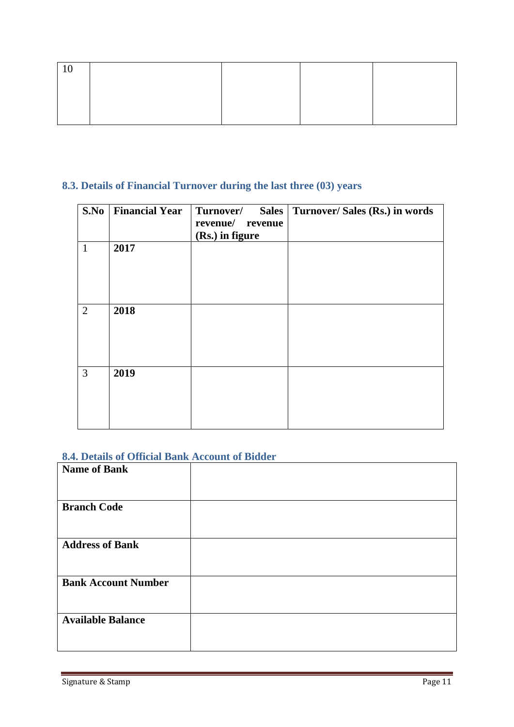# <span id="page-10-0"></span>**8.3. Details of Financial Turnover during the last three (03) years**

| S.No           | <b>Financial Year</b> | Turnover/<br>Sales  <br>revenue/ revenue<br>(Rs.) in figure | Turnover/ Sales (Rs.) in words |
|----------------|-----------------------|-------------------------------------------------------------|--------------------------------|
| $\mathbf{1}$   | 2017                  |                                                             |                                |
| $\overline{2}$ | 2018                  |                                                             |                                |
| 3              | 2019                  |                                                             |                                |

# <span id="page-10-1"></span>**8.4. Details of Official Bank Account of Bidder**

| <b>Name of Bank</b>        |  |
|----------------------------|--|
| <b>Branch Code</b>         |  |
| <b>Address of Bank</b>     |  |
| <b>Bank Account Number</b> |  |
| <b>Available Balance</b>   |  |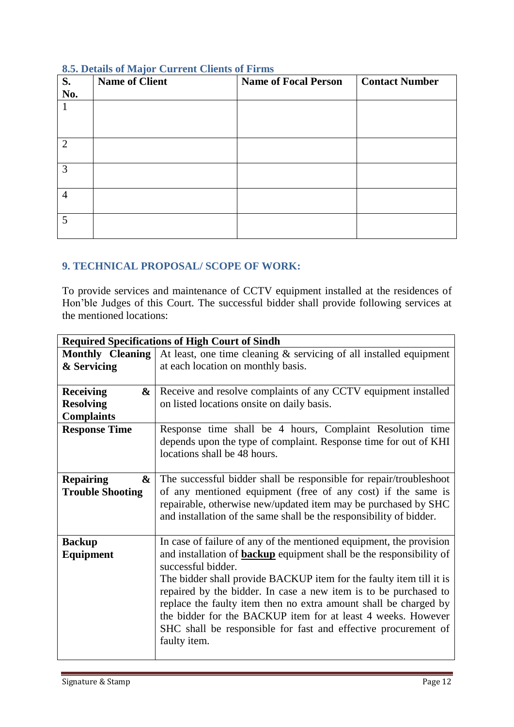| <b>S.</b><br>No. | <b>Name of Client</b> | <b>Name of Focal Person</b> | <b>Contact Number</b> |
|------------------|-----------------------|-----------------------------|-----------------------|
| $\mathbf{1}$     |                       |                             |                       |
| 2                |                       |                             |                       |
| 3                |                       |                             |                       |
| $\overline{4}$   |                       |                             |                       |
| 5                |                       |                             |                       |

#### <span id="page-11-0"></span>**8.5. Details of Major Current Clients of Firms**

#### <span id="page-11-1"></span>**9. TECHNICAL PROPOSAL/ SCOPE OF WORK:**

To provide services and maintenance of CCTV equipment installed at the residences of Hon"ble Judges of this Court. The successful bidder shall provide following services at the mentioned locations:

| <b>Required Specifications of High Court of Sindh</b> |                                                                                                  |  |
|-------------------------------------------------------|--------------------------------------------------------------------------------------------------|--|
| <b>Monthly Cleaning</b>                               | At least, one time cleaning $\&$ servicing of all installed equipment                            |  |
| & Servicing                                           | at each location on monthly basis.                                                               |  |
|                                                       |                                                                                                  |  |
| <b>Receiving</b><br>&                                 | Receive and resolve complaints of any CCTV equipment installed                                   |  |
| <b>Resolving</b>                                      | on listed locations onsite on daily basis.                                                       |  |
| <b>Complaints</b>                                     |                                                                                                  |  |
| <b>Response Time</b>                                  | Response time shall be 4 hours, Complaint Resolution time                                        |  |
|                                                       | depends upon the type of complaint. Response time for out of KHI                                 |  |
|                                                       | locations shall be 48 hours.                                                                     |  |
|                                                       |                                                                                                  |  |
| <b>Repairing</b><br>&                                 | The successful bidder shall be responsible for repair/troubleshoot                               |  |
| <b>Trouble Shooting</b>                               | of any mentioned equipment (free of any cost) if the same is                                     |  |
|                                                       | repairable, otherwise new/updated item may be purchased by SHC                                   |  |
|                                                       | and installation of the same shall be the responsibility of bidder.                              |  |
|                                                       |                                                                                                  |  |
| <b>Backup</b>                                         | In case of failure of any of the mentioned equipment, the provision                              |  |
| <b>Equipment</b>                                      | and installation of <b>backup</b> equipment shall be the responsibility of<br>successful bidder. |  |
|                                                       | The bidder shall provide BACKUP item for the faulty item till it is                              |  |
|                                                       | repaired by the bidder. In case a new item is to be purchased to                                 |  |
|                                                       | replace the faulty item then no extra amount shall be charged by                                 |  |
|                                                       | the bidder for the BACKUP item for at least 4 weeks. However                                     |  |
|                                                       | SHC shall be responsible for fast and effective procurement of                                   |  |
|                                                       | faulty item.                                                                                     |  |
|                                                       |                                                                                                  |  |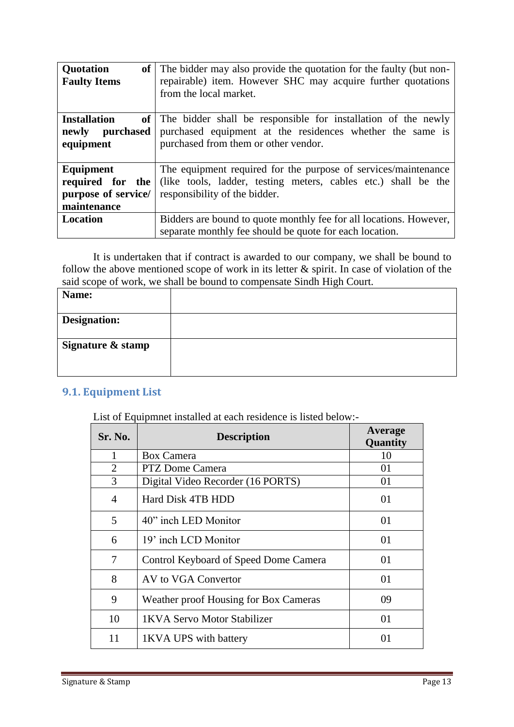| Quotation<br><b>Faulty Items</b>                                    | of The bidder may also provide the quotation for the faulty (but non-<br>repairable) item. However SHC may acquire further quotations<br>from the local market.       |
|---------------------------------------------------------------------|-----------------------------------------------------------------------------------------------------------------------------------------------------------------------|
| <b>Installation</b><br>newly purchased<br>equipment                 | of The bidder shall be responsible for installation of the newly<br>purchased equipment at the residences whether the same is<br>purchased from them or other vendor. |
| Equipment<br>required for the<br>purpose of service/<br>maintenance | The equipment required for the purpose of services/maintenance<br>(like tools, ladder, testing meters, cables etc.) shall be the<br>responsibility of the bidder.     |
| Location                                                            | Bidders are bound to quote monthly fee for all locations. However,<br>separate monthly fee should be quote for each location.                                         |

It is undertaken that if contract is awarded to our company, we shall be bound to follow the above mentioned scope of work in its letter  $\&$  spirit. In case of violation of the said scope of work, we shall be bound to compensate Sindh High Court.

| Name:               |  |  |
|---------------------|--|--|
| <b>Designation:</b> |  |  |
| Signature & stamp   |  |  |

# <span id="page-12-0"></span>**9.1. Equipment List**

List of Equipmnet installed at each residence is listed below:-

| Sr. No.                  | <b>Description</b>                    | Average<br>Quantity |
|--------------------------|---------------------------------------|---------------------|
|                          | <b>Box Camera</b>                     | 10                  |
| $\overline{2}$           | <b>PTZ</b> Dome Camera                | 01                  |
| 3                        | Digital Video Recorder (16 PORTS)     | 01                  |
| $\overline{\mathcal{A}}$ | Hard Disk 4TB HDD                     | 01                  |
| 5                        | 40" inch LED Monitor                  | 01                  |
| 6                        | 19' inch LCD Monitor                  | 01                  |
| 7                        | Control Keyboard of Speed Dome Camera | 01                  |
| 8                        | AV to VGA Convertor                   | 01                  |
| 9                        | Weather proof Housing for Box Cameras | 09                  |
| 10                       | 1KVA Servo Motor Stabilizer           | 01                  |
| 11                       | 1KVA UPS with battery                 | 01                  |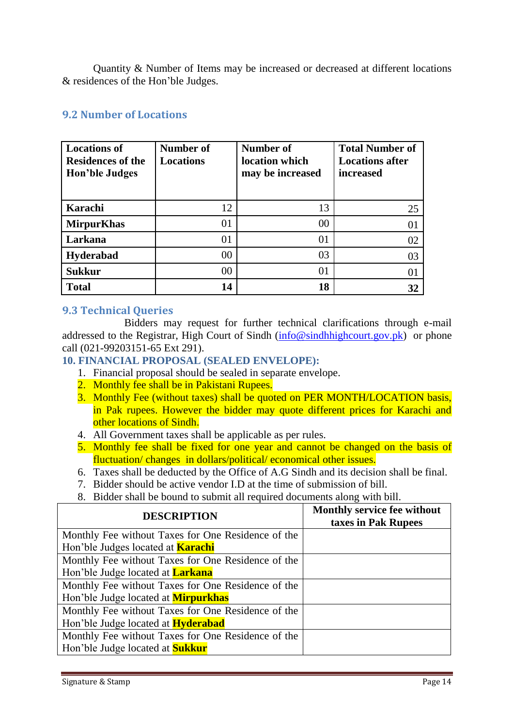Quantity & Number of Items may be increased or decreased at different locations & residences of the Hon"ble Judges.

# <span id="page-13-0"></span>**9.2 Number of Locations**

| <b>Locations of</b><br><b>Residences of the</b><br><b>Hon'ble Judges</b> | Number of<br><b>Locations</b> | Number of<br>location which<br>may be increased | <b>Total Number of</b><br><b>Locations after</b><br>increased |
|--------------------------------------------------------------------------|-------------------------------|-------------------------------------------------|---------------------------------------------------------------|
| Karachi                                                                  | 12                            | 13                                              | 25                                                            |
| <b>MirpurKhas</b>                                                        | 01                            | 00                                              | 01                                                            |
| Larkana                                                                  | 01                            | 01                                              | 02                                                            |
| <b>Hyderabad</b>                                                         | $00\,$                        | 03                                              | 03                                                            |
| <b>Sukkur</b>                                                            | $00\,$                        | 01                                              | 01                                                            |
| <b>Total</b>                                                             | 14                            | 18                                              | 32                                                            |

# <span id="page-13-1"></span>**9.3 Technical Queries**

Bidders may request for further technical clarifications through e-mail addressed to the Registrar, High Court of Sindh [\(info@sindhhighcourt.gov.pk\)](mailto:info@sindhhighcourt.gov.pk) or phone call (021-99203151-65 Ext 291).

#### <span id="page-13-2"></span>**10. FINANCIAL PROPOSAL (SEALED ENVELOPE):**

- 1. Financial proposal should be sealed in separate envelope.
- 2. Monthly fee shall be in Pakistani Rupees.
- 3. Monthly Fee (without taxes) shall be quoted on PER MONTH/LOCATION basis, in Pak rupees. However the bidder may quote different prices for Karachi and other locations of Sindh.
- 4. All Government taxes shall be applicable as per rules.
- 5. Monthly fee shall be fixed for one year and cannot be changed on the basis of fluctuation/ changes in dollars/political/ economical other issues.
- 6. Taxes shall be deducted by the Office of A.G Sindh and its decision shall be final.
- 7. Bidder should be active vendor I.D at the time of submission of bill.
- 8. Bidder shall be bound to submit all required documents along with bill.

| <b>DESCRIPTION</b>                                 | <b>Monthly service fee without</b><br>taxes in Pak Rupees |
|----------------------------------------------------|-----------------------------------------------------------|
| Monthly Fee without Taxes for One Residence of the |                                                           |
| Hon'ble Judges located at <b>Karachi</b>           |                                                           |
| Monthly Fee without Taxes for One Residence of the |                                                           |
| Hon'ble Judge located at <b>Larkana</b>            |                                                           |
| Monthly Fee without Taxes for One Residence of the |                                                           |
| Hon'ble Judge located at <b>Mirpurkhas</b>         |                                                           |
| Monthly Fee without Taxes for One Residence of the |                                                           |
| Hon'ble Judge located at <b>Hyderabad</b>          |                                                           |
| Monthly Fee without Taxes for One Residence of the |                                                           |
| Hon'ble Judge located at <b>Sukkur</b>             |                                                           |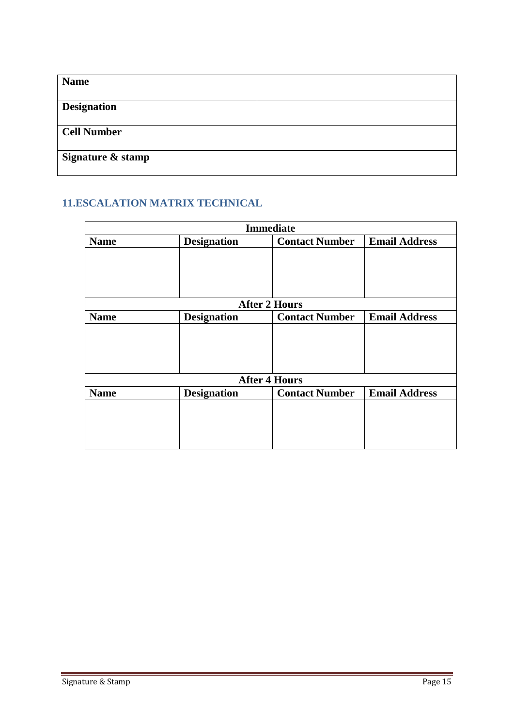| <b>Name</b>        |  |
|--------------------|--|
| <b>Designation</b> |  |
| <b>Cell Number</b> |  |
| Signature & stamp  |  |

# <span id="page-14-0"></span>**11.ESCALATION MATRIX TECHNICAL**

| <b>Immediate</b> |                    |                       |                      |
|------------------|--------------------|-----------------------|----------------------|
| <b>Name</b>      | <b>Designation</b> | <b>Contact Number</b> | <b>Email Address</b> |
|                  |                    |                       |                      |
|                  |                    |                       |                      |
|                  |                    |                       |                      |
|                  |                    |                       |                      |
|                  |                    | <b>After 2 Hours</b>  |                      |
| <b>Name</b>      | <b>Designation</b> | <b>Contact Number</b> | <b>Email Address</b> |
|                  |                    |                       |                      |
|                  |                    |                       |                      |
|                  |                    |                       |                      |
|                  |                    |                       |                      |
|                  |                    | <b>After 4 Hours</b>  |                      |
| <b>Name</b>      | <b>Designation</b> | <b>Contact Number</b> | <b>Email Address</b> |
|                  |                    |                       |                      |
|                  |                    |                       |                      |
|                  |                    |                       |                      |
|                  |                    |                       |                      |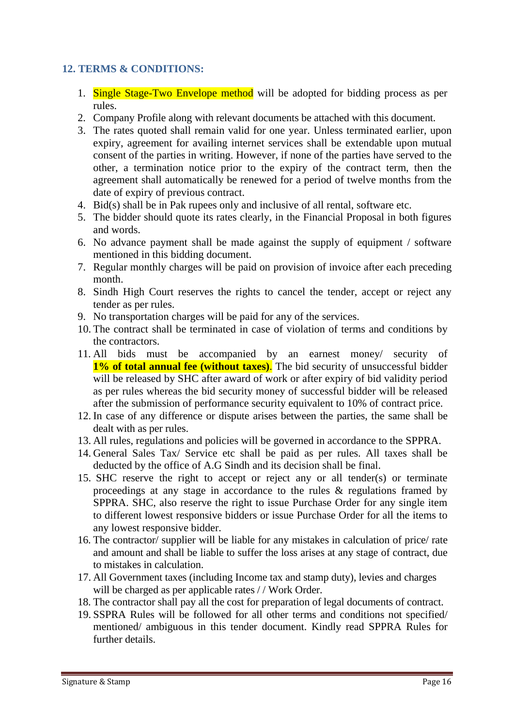## <span id="page-15-0"></span>**12. TERMS & CONDITIONS:**

- 1. Single Stage-Two Envelope method will be adopted for bidding process as per rules.
- 2. Company Profile along with relevant documents be attached with this document.
- 3. The rates quoted shall remain valid for one year. Unless terminated earlier, upon expiry, agreement for availing internet services shall be extendable upon mutual consent of the parties in writing. However, if none of the parties have served to the other, a termination notice prior to the expiry of the contract term, then the agreement shall automatically be renewed for a period of twelve months from the date of expiry of previous contract.
- 4. Bid(s) shall be in Pak rupees only and inclusive of all rental, software etc.
- 5. The bidder should quote its rates clearly, in the Financial Proposal in both figures and words.
- 6. No advance payment shall be made against the supply of equipment / software mentioned in this bidding document.
- 7. Regular monthly charges will be paid on provision of invoice after each preceding month.
- 8. Sindh High Court reserves the rights to cancel the tender, accept or reject any tender as per rules.
- 9. No transportation charges will be paid for any of the services.
- 10. The contract shall be terminated in case of violation of terms and conditions by the contractors.
- 11. All bids must be accompanied by an earnest money/ security of **1% of total annual fee (without taxes)**. The bid security of unsuccessful bidder will be released by SHC after award of work or after expiry of bid validity period as per rules whereas the bid security money of successful bidder will be released after the submission of performance security equivalent to 10% of contract price.
- 12. In case of any difference or dispute arises between the parties, the same shall be dealt with as per rules.
- 13. All rules, regulations and policies will be governed in accordance to the SPPRA.
- 14. General Sales Tax/ Service etc shall be paid as per rules. All taxes shall be deducted by the office of A.G Sindh and its decision shall be final.
- 15. SHC reserve the right to accept or reject any or all tender(s) or terminate proceedings at any stage in accordance to the rules & regulations framed by SPPRA. SHC, also reserve the right to issue Purchase Order for any single item to different lowest responsive bidders or issue Purchase Order for all the items to any lowest responsive bidder.
- 16. The contractor/ supplier will be liable for any mistakes in calculation of price/ rate and amount and shall be liable to suffer the loss arises at any stage of contract, due to mistakes in calculation.
- 17. All Government taxes (including Income tax and stamp duty), levies and charges will be charged as per applicable rates // Work Order.
- 18. The contractor shall pay all the cost for preparation of legal documents of contract.
- 19. SSPRA Rules will be followed for all other terms and conditions not specified/ mentioned/ ambiguous in this tender document. Kindly read SPPRA Rules for further details.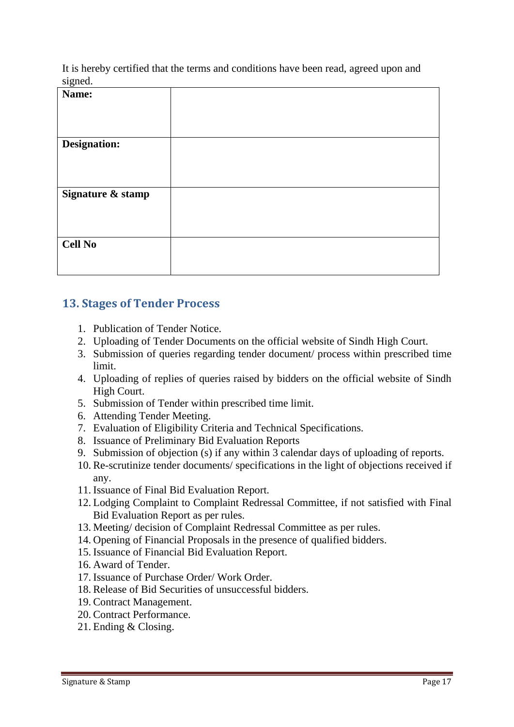It is hereby certified that the terms and conditions have been read, agreed upon and signed

| 5.5<br>Name:        |  |
|---------------------|--|
| <b>Designation:</b> |  |
| Signature & stamp   |  |
|                     |  |
| <b>Cell No</b>      |  |

# <span id="page-16-0"></span>**13. Stages of Tender Process**

- 1. Publication of Tender Notice.
- 2. Uploading of Tender Documents on the official website of Sindh High Court.
- 3. Submission of queries regarding tender document/ process within prescribed time limit.
- 4. Uploading of replies of queries raised by bidders on the official website of Sindh High Court.
- 5. Submission of Tender within prescribed time limit.
- 6. Attending Tender Meeting.
- 7. Evaluation of Eligibility Criteria and Technical Specifications.
- 8. Issuance of Preliminary Bid Evaluation Reports
- 9. Submission of objection (s) if any within 3 calendar days of uploading of reports.
- 10. Re-scrutinize tender documents/ specifications in the light of objections received if any.
- 11. Issuance of Final Bid Evaluation Report.
- 12. Lodging Complaint to Complaint Redressal Committee, if not satisfied with Final Bid Evaluation Report as per rules.
- 13. Meeting/ decision of Complaint Redressal Committee as per rules.
- 14. Opening of Financial Proposals in the presence of qualified bidders.
- 15. Issuance of Financial Bid Evaluation Report.
- 16. Award of Tender.
- 17. Issuance of Purchase Order/ Work Order.
- 18. Release of Bid Securities of unsuccessful bidders.
- 19. Contract Management.
- 20. Contract Performance.
- 21. Ending & Closing.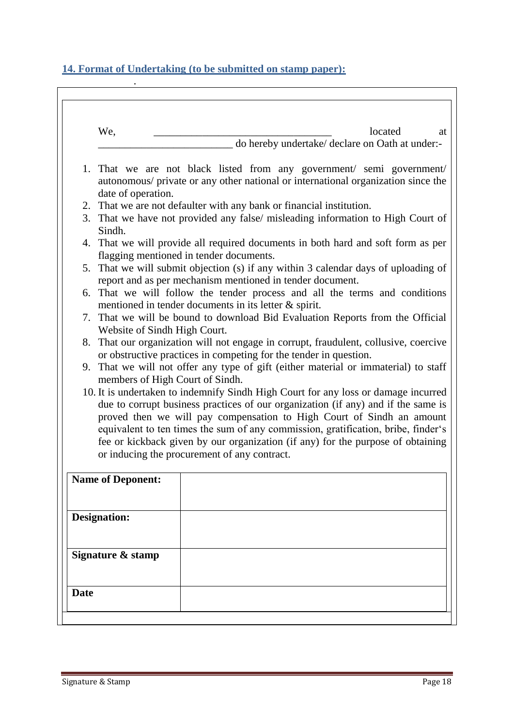# <span id="page-17-0"></span>**14. Format of Undertaking (to be submitted on stamp paper):**

| We,                                                                                                                                             | located<br>at                                                                                                                                                           |
|-------------------------------------------------------------------------------------------------------------------------------------------------|-------------------------------------------------------------------------------------------------------------------------------------------------------------------------|
|                                                                                                                                                 | do hereby undertake/ declare on Oath at under:-                                                                                                                         |
| date of operation.                                                                                                                              | 1. That we are not black listed from any government/ semi government/<br>autonomous/ private or any other national or international organization since the              |
|                                                                                                                                                 | 2. That we are not defaulter with any bank or financial institution.                                                                                                    |
| Sindh.                                                                                                                                          | 3. That we have not provided any false/ misleading information to High Court of                                                                                         |
|                                                                                                                                                 | 4. That we will provide all required documents in both hard and soft form as per<br>flagging mentioned in tender documents.                                             |
| 5. That we will submit objection (s) if any within 3 calendar days of uploading of<br>report and as per mechanism mentioned in tender document. |                                                                                                                                                                         |
| 6. That we will follow the tender process and all the terms and conditions<br>mentioned in tender documents in its letter $\&$ spirit.          |                                                                                                                                                                         |
|                                                                                                                                                 | 7. That we will be bound to download Bid Evaluation Reports from the Official<br>Website of Sindh High Court.                                                           |
|                                                                                                                                                 | 8. That our organization will not engage in corrupt, fraudulent, collusive, coercive<br>or obstructive practices in competing for the tender in question.               |
|                                                                                                                                                 | 9. That we will not offer any type of gift (either material or immaterial) to staff<br>members of High Court of Sindh.                                                  |
|                                                                                                                                                 | 10. It is undertaken to indemnify Sindh High Court for any loss or damage incurred<br>due to corrupt business practices of our organization (if any) and if the same is |
|                                                                                                                                                 | proved then we will pay compensation to High Court of Sindh an amount<br>equivalent to ten times the sum of any commission, gratification, bribe, finder's              |
|                                                                                                                                                 | fee or kickback given by our organization (if any) for the purpose of obtaining<br>or inducing the procurement of any contract.                                         |
|                                                                                                                                                 |                                                                                                                                                                         |
| <b>Name of Deponent:</b>                                                                                                                        |                                                                                                                                                                         |
| <b>Designation:</b>                                                                                                                             |                                                                                                                                                                         |
|                                                                                                                                                 |                                                                                                                                                                         |
| Signature & stamp                                                                                                                               |                                                                                                                                                                         |
|                                                                                                                                                 |                                                                                                                                                                         |